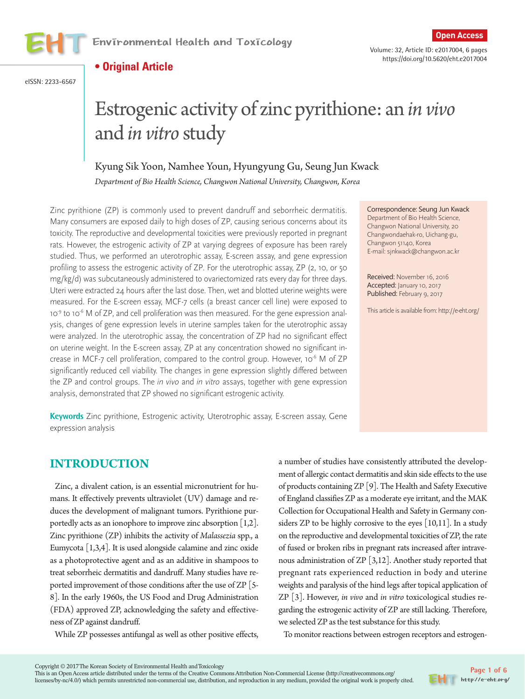

https://doi.org/10.5620/eht.e2017004

**• Original Article**

eISSN: 2233-6567

# Estrogenic activity of zinc pyrithione: an *in vivo* and *in vitro* study

## Kyung Sik Yoon, Namhee Youn, Hyungyung Gu, Seung Jun Kwack

*Department of Bio Health Science, Changwon National University, Changwon, Korea*

Zinc pyrithione (ZP) is commonly used to prevent dandruff and seborrheic dermatitis. Many consumers are exposed daily to high doses of ZP, causing serious concerns about its toxicity. The reproductive and developmental toxicities were previously reported in pregnant rats. However, the estrogenic activity of ZP at varying degrees of exposure has been rarely studied. Thus, we performed an uterotrophic assay, E-screen assay, and gene expression profiling to assess the estrogenic activity of ZP. For the uterotrophic assay, ZP (2, 10, or 50 mg/kg/d) was subcutaneously administered to ovariectomized rats every day for three days. Uteri were extracted 24 hours after the last dose. Then, wet and blotted uterine weights were measured. For the E-screen essay, MCF-7 cells (a breast cancer cell line) were exposed to 10<sup>9</sup> to 10<sup>-6</sup> M of ZP, and cell proliferation was then measured. For the gene expression analysis, changes of gene expression levels in uterine samples taken for the uterotrophic assay were analyzed. In the uterotrophic assay, the concentration of ZP had no significant effect on uterine weight. In the E-screen assay, ZP at any concentration showed no significant increase in MCF-7 cell proliferation, compared to the control group. However, 10<sup>-6</sup> M of ZP significantly reduced cell viability. The changes in gene expression slightly differed between the ZP and control groups. The in vivo and in vitro assays, together with gene expression analysis, demonstrated that ZP showed no significant estrogenic activity.

Correspondence: Seung Jun Kwack Department of Bio Health Science, Changwon National University, 20 Changwondaehak-ro, Uichang-gu, Changwon 51140, Korea E-mail: sjnkwack@changwon.ac.kr

Received: November 16, 2016 Accepted: January 10, 2017 Published: February 9, 2017

This article is available from: http://e-eht.org/

## **Keywords** Zinc pyrithione, Estrogenic activity, Uterotrophic assay, E-screen assay, Gene expression analysis

# **INTRODUCTION**

Zinc, a divalent cation, is an essential micronutrient for humans. It effectively prevents ultraviolet (UV) damage and reduces the development of malignant tumors. Pyrithione purportedly acts as an ionophore to improve zinc absorption [1,2]. Zinc pyrithione (ZP) inhibits the activity of *Malassezia* spp., a Eumycota  $[1,3,4]$ . It is used alongside calamine and zinc oxide as a photoprotective agent and as an additive in shampoos to treat seborrheic dermatitis and dandruff. Many studies have reported improvement of those conditions after the use of ZP [5- 8]. In the early 1960s, the US Food and Drug Administration (FDA) approved ZP, acknowledging the safety and effectiveness of ZP against dandruff.

While ZP possesses antifungal as well as other positive effects,

a number of studies have consistently attributed the development of allergic contact dermatitis and skin side effects to the use of products containing ZP [9]. The Health and Safety Executive of England classifies ZP as a moderate eye irritant, and the MAK Collection for Occupational Health and Safety in Germany considers ZP to be highly corrosive to the eyes [10,11]. In a study on the reproductive and developmental toxicities of ZP, the rate of fused or broken ribs in pregnant rats increased after intravenous administration of ZP [3,12]. Another study reported that pregnant rats experienced reduction in body and uterine weights and paralysis of the hind legs after topical application of ZP [3]. However, *in vivo* and *in vitro* toxicological studies regarding the estrogenic activity of ZP are still lacking. Therefore, we selected ZP as the test substance for this study.

To monitor reactions between estrogen receptors and estrogen-

This is an Open Access article distributed under the terms of the Creative Commons Attribution Non-Commercial License (http://creativecommons.org/ licenses/by-nc/4.0/) which permits unrestricted non-commercial use, distribution, and reproduction in any medium, provided the original work is properly cited.

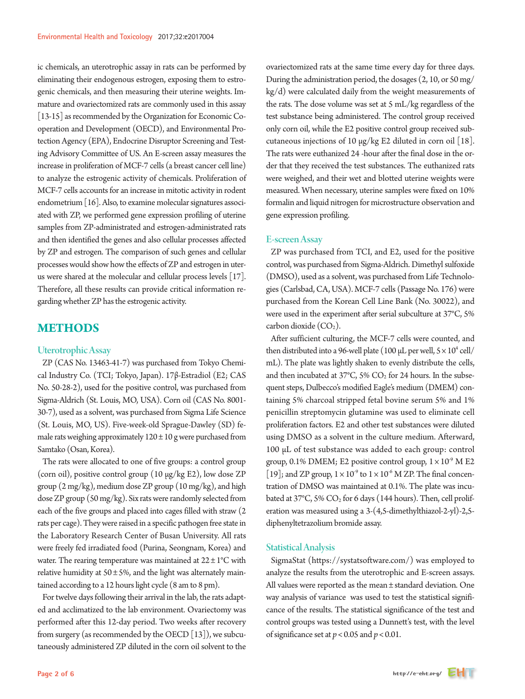ic chemicals, an uterotrophic assay in rats can be performed by eliminating their endogenous estrogen, exposing them to estrogenic chemicals, and then measuring their uterine weights. Immature and ovariectomized rats are commonly used in this assay [13-15] as recommended by the Organization for Economic Cooperation and Development (OECD), and Environmental Protection Agency (EPA), Endocrine Disruptor Screening and Testing Advisory Committee of US. An E-screen assay measures the increase in proliferation of MCF-7 cells (a breast cancer cell line) to analyze the estrogenic activity of chemicals. Proliferation of MCF-7 cells accounts for an increase in mitotic activity in rodent endometrium [16]. Also, to examine molecular signatures associated with ZP, we performed gene expression profiling of uterine samples from ZP-administrated and estrogen-administrated rats and then identified the genes and also cellular processes affected by ZP and estrogen. The comparison of such genes and cellular processes would show how the effects of ZP and estrogen in uterus were shared at the molecular and cellular process levels [17]. Therefore, all these results can provide critical information regarding whether ZP has the estrogenic activity.

# **METHODS**

#### Uterotrophic Assay

ZP (CAS No. 13463-41-7) was purchased from Tokyo Chemical Industry Co. (TCI; Tokyo, Japan). 17β-Estradiol (E2; CAS No. 50-28-2), used for the positive control, was purchased from Sigma-Aldrich (St. Louis, MO, USA). Corn oil (CAS No. 8001- 30-7), used as a solvent, was purchased from Sigma Life Science (St. Louis, MO, US). Five-week-old Sprague-Dawley (SD) female rats weighing approximately  $120 \pm 10$  g were purchased from Samtako (Osan, Korea).

The rats were allocated to one of five groups: a control group (corn oil), positive control group (10 µg/kg E2), low dose ZP group (2 mg/kg), medium dose ZP group (10 mg/kg), and high dose ZP group (50 mg/kg). Six rats were randomly selected from each of the five groups and placed into cages filled with straw (2 rats per cage). They were raised in a specific pathogen free state in the Laboratory Research Center of Busan University. All rats were freely fed irradiated food (Purina, Seongnam, Korea) and water. The rearing temperature was maintained at  $22 \pm 1^{\circ}$ C with relative humidity at  $50 \pm 5\%$ , and the light was alternately maintained according to a 12 hours light cycle (8 am to 8 pm).

For twelve days following their arrival in the lab, the rats adapted and acclimatized to the lab environment. Ovariectomy was performed after this 12-day period. Two weeks after recovery from surgery (as recommended by the OECD [13]), we subcutaneously administered ZP diluted in the corn oil solvent to the

ovariectomized rats at the same time every day for three days. During the administration period, the dosages (2, 10, or 50 mg/ kg/d) were calculated daily from the weight measurements of the rats. The dose volume was set at 5 mL/kg regardless of the test substance being administered. The control group received only corn oil, while the E2 positive control group received subcutaneous injections of 10  $\mu$ g/kg E2 diluted in corn oil [18]. The rats were euthanized 24 -hour after the final dose in the order that they received the test substances. The euthanized rats were weighed, and their wet and blotted uterine weights were measured. When necessary, uterine samples were fixed on 10% formalin and liquid nitrogen for microstructure observation and gene expression profiling.

#### E-screen Assay

ZP was purchased from TCI, and E2, used for the positive control, was purchased from Sigma-Aldrich. Dimethyl sulfoxide (DMSO), used as a solvent, was purchased from Life Technologies (Carlsbad, CA, USA). MCF-7 cells (Passage No. 176) were purchased from the Korean Cell Line Bank (No. 30022), and were used in the experiment after serial subculture at 37°C, 5% carbon dioxide  $(CO<sub>2</sub>)$ .

After sufficient culturing, the MCF-7 cells were counted, and then distributed into a 96-well plate (100  $\mu$ L per well, 5  $\times$  10<sup>4</sup> cell/ mL). The plate was lightly shaken to evenly distribute the cells, and then incubated at  $37^{\circ}$ C,  $5\%$  CO<sub>2</sub> for 24 hours. In the subsequent steps, Dulbecco's modified Eagle's medium (DMEM) containing 5% charcoal stripped fetal bovine serum 5% and 1% penicillin streptomycin glutamine was used to eliminate cell proliferation factors. E2 and other test substances were diluted using DMSO as a solvent in the culture medium. Afterward, 100 µL of test substance was added to each group: control group, 0.1% DMEM; E2 positive control group,  $1 \times 10^{-9}$  M E2 [19]; and ZP group,  $1 \times 10^{-9}$  to  $1 \times 10^{-6}$  M ZP. The final concentration of DMSO was maintained at 0.1%. The plate was incubated at 37°C, 5% CO<sub>2</sub> for 6 days (144 hours). Then, cell proliferation was measured using a 3-(4,5-dimethylthiazol-2-yl)-2,5 diphenyltetrazolium bromide assay.

#### Statistical Analysis

SigmaStat (https://systatsoftware.com/) was employed to analyze the results from the uterotrophic and E-screen assays. All values were reported as the mean ± standard deviation. One way analysis of variance was used to test the statistical significance of the results. The statistical significance of the test and control groups was tested using a Dunnett's test, with the level of significance set at  $p < 0.05$  and  $p < 0.01$ .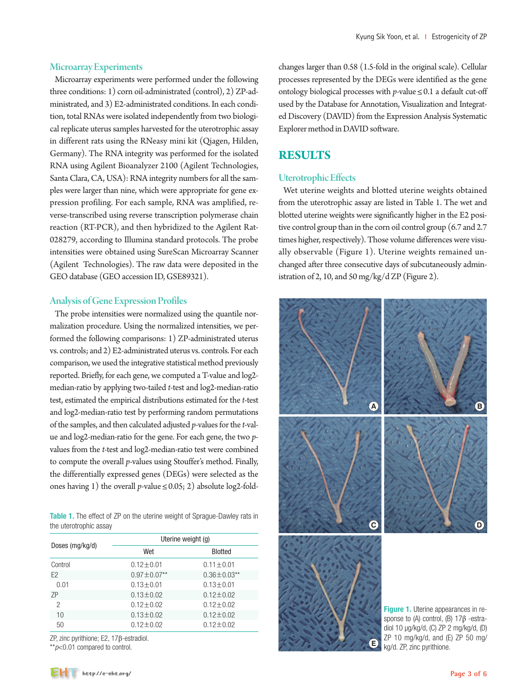Microarray experiments were performed under the following three conditions: 1) corn oil-administrated (control), 2) ZP-administrated, and 3) E2-administrated conditions. In each condition, total RNAs were isolated independently from two biological replicate uterus samples harvested for the uterotrophic assay in different rats using the RNeasy mini kit (Qiagen, Hilden, Germany). The RNA integrity was performed for the isolated RNA using Agilent Bioanalyzer 2100 (Agilent Technologies, Santa Clara, CA, USA): RNA integrity numbers for all the samples were larger than nine, which were appropriate for gene expression profiling. For each sample, RNA was amplified, reverse-transcribed using reverse transcription polymerase chain reaction (RT-PCR), and then hybridized to the Agilent Rat-028279, according to Illumina standard protocols. The probe intensities were obtained using SureScan Microarray Scanner (Agilent Technologies). The raw data were deposited in the GEO database (GEO accession ID, GSE89321).

### Analysis of Gene Expression Profiles

The probe intensities were normalized using the quantile normalization procedure. Using the normalized intensities, we performed the following comparisons: 1) ZP-administrated uterus vs. controls; and 2) E2-administrated uterus vs. controls. For each comparison, we used the integrative statistical method previously reported. Briefly, for each gene, we computed a T-value and log2 median-ratio by applying two-tailed *t*-test and log2-median-ratio test, estimated the empirical distributions estimated for the *t*-test and log2-median-ratio test by performing random permutations of the samples, and then calculated adjusted *p*-values for the *t*-value and log2-median-ratio for the gene. For each gene, the two *p*values from the *t*-test and log2-median-ratio test were combined to compute the overall *p*-values using Stouffer's method. Finally, the differentially expressed genes (DEGs) were selected as the ones having 1) the overall *p*-value  $\leq$  0.05; 2) absolute log2-fold-

Table 1. The effect of ZP on the uterine weight of Sprague-Dawley rats in the uterotrophic assay

|                 | Uterine weight (g) |                    |  |  |
|-----------------|--------------------|--------------------|--|--|
| Doses (mg/kg/d) | Wet                | <b>Blotted</b>     |  |  |
| Control         | $0.12 \pm 0.01$    | $0.11 \pm 0.01$    |  |  |
| F <sub>2</sub>  | $0.97 \pm 0.07**$  | $0.36 \pm 0.03$ ** |  |  |
| 0.01            | $0.13 \pm 0.01$    | $0.13 \pm 0.01$    |  |  |
| 7P              | $0.13 \pm 0.02$    | $0.12 \pm 0.02$    |  |  |
| $\overline{c}$  | $0.12 \pm 0.02$    | $0.12 \pm 0.02$    |  |  |
| 10              | $0.13 \pm 0.02$    | $0.12 \pm 0.02$    |  |  |
| 50              | $0.12 + 0.02$      | $0.12 + 0.02$      |  |  |

ZP, zinc pyrithione; E2, 17β-estradiol.

\*\**p*<0.01 compared to control.

changes larger than 0.58 (1.5-fold in the original scale). Cellular processes represented by the DEGs were identified as the gene ontology biological processes with *p*-value≤0.1 a default cut-off used by the Database for Annotation, Visualization and Integrated Discovery (DAVID) from the Expression Analysis Systematic Explorer method in DAVID software.

## **RESULTS**

## Uterotrophic Effects

Wet uterine weights and blotted uterine weights obtained from the uterotrophic assay are listed in Table 1. The wet and blotted uterine weights were significantly higher in the E2 positive control group than in the corn oil control group (6.7 and 2.7 times higher, respectively). Those volume differences were visually observable (Figure 1). Uterine weights remained unchanged after three consecutive days of subcutaneously administration of 2, 10, and 50 mg/kg/d ZP (Figure 2).

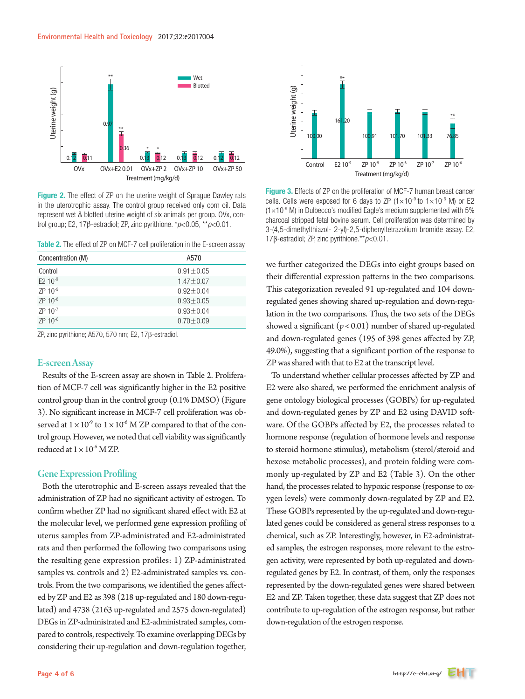

Figure 2. The effect of ZP on the uterine weight of Sprague Dawley rats in the uterotrophic assay. The control group received only corn oil. Data represent wet & blotted uterine weight of six animals per group. OVx, con-

|  |  |  |  |  | <b>Table 2.</b> The effect of ZP on MCF-7 cell proliferation in the E-screen assay |  |
|--|--|--|--|--|------------------------------------------------------------------------------------|--|
|--|--|--|--|--|------------------------------------------------------------------------------------|--|

| Concentration (M)     | A570            |
|-----------------------|-----------------|
| Control               | $0.91 \pm 0.05$ |
| $E2 10^{-9}$          | $1.47 \pm 0.07$ |
| $ZP 10^{-9}$          | $0.92 \pm 0.04$ |
| $ZP$ 10 <sup>-8</sup> | $0.93 \pm 0.05$ |
| $ZP$ 10 <sup>-7</sup> | $0.93 \pm 0.04$ |
| $ZP 10^{-6}$          | $0.70 \pm 0.09$ |

ZP, zinc pyrithione; A570, 570 nm; E2, 17β-estradiol.

#### E-screen Assay

Results of the E-screen assay are shown in Table 2. Proliferation of MCF-7 cell was significantly higher in the E2 positive control group than in the control group (0.1% DMSO) (Figure 3). No significant increase in MCF-7 cell proliferation was observed at  $1 \times 10^{-9}$  to  $1 \times 10^{-6}$  M ZP compared to that of the control group. However, we noted that cell viability was significantly reduced at  $1 \times 10^{-6}$  M ZP.

#### Gene Expression Profiling

Both the uterotrophic and E-screen assays revealed that the administration of ZP had no significant activity of estrogen. To confirm whether ZP had no significant shared effect with E2 at the molecular level, we performed gene expression profiling of uterus samples from ZP-administrated and E2-administrated rats and then performed the following two comparisons using the resulting gene expression profiles: 1) ZP-administrated samples vs. controls and 2) E2-administrated samples vs. controls. From the two comparisons, we identified the genes affected by ZP and E2 as 398 (218 up-regulated and 180 down-regulated) and 4738 (2163 up-regulated and 2575 down-regulated) DEGs in ZP-administrated and E2-administrated samples, compared to controls, respectively. To examine overlapping DEGs by considering their up-regulation and down-regulation together,



Figure 3. Effects of ZP on the proliferation of MCF-7 human breast cancer cells. Cells were exposed for 6 days to ZP  $(1 \times 10^{-9}$  to  $1 \times 10^{-6}$  M) or E2  $(1\times10^{-9}$  M) in Dulbecco's modified Eagle's medium supplemented with 5% charcoal stripped fetal bovine serum. Cell proliferation was determined by 3-(4,5-dimethylthiazol- 2-yl)-2,5-diphenyltetrazolium bromide assay. E2, 17β-estradiol; ZP, zinc pyrithione.\*\**p*<0.01.

we further categorized the DEGs into eight groups based on their differential expression patterns in the two comparisons. This categorization revealed 91 up-regulated and 104 downregulated genes showing shared up-regulation and down-regulation in the two comparisons. Thus, the two sets of the DEGs showed a significant (*p*< 0.01) number of shared up-regulated and down-regulated genes (195 of 398 genes affected by ZP, 49.0%), suggesting that a significant portion of the response to ZP was shared with that to E2 at the transcript level.

To understand whether cellular processes affected by ZP and E2 were also shared, we performed the enrichment analysis of gene ontology biological processes (GOBPs) for up-regulated and down-regulated genes by ZP and E2 using DAVID software. Of the GOBPs affected by E2, the processes related to hormone response (regulation of hormone levels and response to steroid hormone stimulus), metabolism (sterol/steroid and hexose metabolic processes), and protein folding were commonly up-regulated by ZP and E2 (Table 3). On the other hand, the processes related to hypoxic response (response to oxygen levels) were commonly down-regulated by ZP and E2. These GOBPs represented by the up-regulated and down-regulated genes could be considered as general stress responses to a chemical, such as ZP. Interestingly, however, in E2-administrated samples, the estrogen responses, more relevant to the estrogen activity, were represented by both up-regulated and downregulated genes by E2. In contrast, of them, only the responses represented by the down-regulated genes were shared between E2 and ZP. Taken together, these data suggest that ZP does not contribute to up-regulation of the estrogen response, but rather down-regulation of the estrogen response.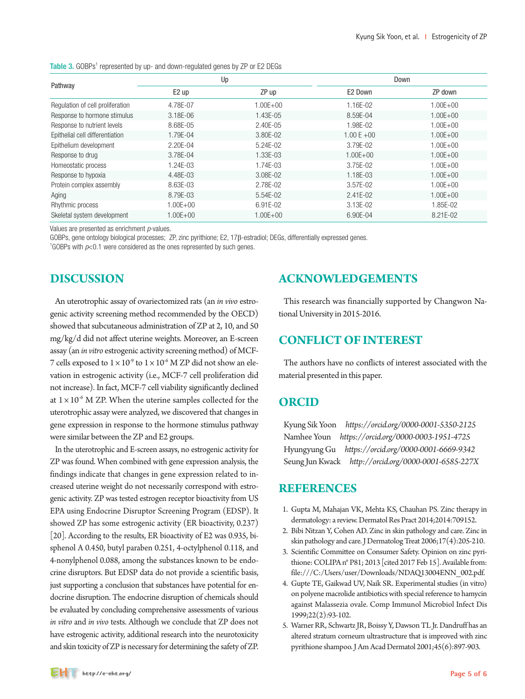|                                  | Up           |              | Down          |              |
|----------------------------------|--------------|--------------|---------------|--------------|
| Pathway                          | $E2$ up      | ZP up        | E2 Down       | ZP down      |
| Regulation of cell proliferation | 4.78E-07     | $1.00E + 00$ | 1.16E-02      | $1.00E + 00$ |
| Response to hormone stimulus     | 3.18E-06     | 1.43E-05     | 8.59E-04      | $1.00E + 00$ |
| Response to nutrient levels      | 8.68E-05     | 2.40E-05     | 1.98E-02      | $1.00E + 00$ |
| Epithelial cell differentiation  | 1.79E-04     | 3.80E-02     | $1.00 E + 00$ | $1.00E + 00$ |
| Epithelium development           | 2.20E-04     | 5.24E-02     | 3.79E-02      | $1.00E + 00$ |
| Response to drug                 | 3.78E-04     | 1.33E-03     | $1.00E + 00$  | $1.00E + 00$ |
| Homeostatic process              | 1.24E-03     | 1.74E-03     | 3.75E-02      | $1.00E + 00$ |
| Response to hypoxia              | 4.48E-03     | 3.08E-02     | 1.18E-03      | $1.00E + 00$ |
| Protein complex assembly         | 8.63E-03     | 2.78E-02     | 3.57E-02      | $1.00E + 00$ |
| Aging                            | 8.79E-03     | $5.54E-02$   | $2.41E - 02$  | $1.00E + 00$ |
| Rhythmic process                 | $1.00E + 00$ | 6.91E-02     | 3.13E-02      | 1.85E-02     |
| Skeletal system development      | $1.00E + 00$ | $1.00E + 00$ | 6.90E-04      | 8.21E-02     |

Table 3. GOBPs<sup>1</sup> represented by up- and down-regulated genes by ZP or E2 DEGs

Values are presented as enrichment *p*-values.

GOBPs, gene ontology biological processes; ZP, zinc pyrithione; E2, 17β-estradiol; DEGs, differentially expressed genes. 1

<sup>1</sup>GOBPs with  $p<0.1$  were considered as the ones represented by such genes.

# **DISCUSSION**

An uterotrophic assay of ovariectomized rats (an *in vivo* estrogenic activity screening method recommended by the OECD) showed that subcutaneous administration of ZP at 2, 10, and 50 mg/kg/d did not affect uterine weights. Moreover, an E-screen assay (an *in vitro* estrogenic activity screening method) of MCF-7 cells exposed to  $1 \times 10^{-9}$  to  $1 \times 10^{-6}$  M ZP did not show an elevation in estrogenic activity (i.e., MCF-7 cell proliferation did not increase). In fact, MCF-7 cell viability significantly declined at  $1 \times 10^{-6}$  M ZP. When the uterine samples collected for the uterotrophic assay were analyzed, we discovered that changes in gene expression in response to the hormone stimulus pathway were similar between the ZP and E2 groups.

In the uterotrophic and E-screen assays, no estrogenic activity for ZP was found. When combined with gene expression analysis, the findings indicate that changes in gene expression related to increased uterine weight do not necessarily correspond with estrogenic activity. ZP was tested estrogen receptor bioactivity from US EPA using Endocrine Disruptor Screening Program (EDSP). It showed ZP has some estrogenic activity (ER bioactivity, 0.237) [20]. According to the results, ER bioactivity of E2 was 0.935, bisphenol A 0.450, butyl paraben 0.251, 4-octylphenol 0.118, and 4-nonylphenol 0.088, among the substances known to be endocrine disruptors. But EDSP data do not provide a scientific basis, just supporting a conclusion that substances have potential for endocrine disruption. The endocrine disruption of chemicals should be evaluated by concluding comprehensive assessments of various *in vitro* and *in vivo* tests. Although we conclude that ZP does not have estrogenic activity, additional research into the neurotoxicity and skin toxicity of ZP is necessary for determining the safety of ZP.

# **ACKNOWLEDGEMENTS**

This research was financially supported by Changwon National University in 2015-2016.

# **CONFLICT OF INTEREST**

The authors have no conflicts of interest associated with the material presented in this paper.

## **ORCID**

Kyung Sik Yoon *https://orcid.org/0000-0001-5350-2125* Namhee Youn *https://orcid.org/0000-0003-1951-4725* Hyungyung Gu *https://orcid.org/0000-0001-6669-9342* Seung Jun Kwack *http://orcid.org/0000-0001-6585-227X*

## **REFERENCES**

- 1. Gupta M, Mahajan VK, Mehta KS, Chauhan PS. Zinc therapy in dermatology: a review. Dermatol Res Pract 2014;2014:709152.
- 2. Bibi Nitzan Y, Cohen AD. Zinc in skin pathology and care. Zinc in skin pathology and care. J Dermatolog Treat 2006;17(4):205-210.
- 3. Scientific Committee on Consumer Safety. Opinion on zinc pyrithione: COLIPA n° P81; 2013 [cited 2017 Feb 15]. Available from: file:///C:/Users/user/Downloads/NDAQ13004ENN\_002.pdf.
- 4. Gupte TE, Gaikwad UV, Naik SR. Experimental studies (in vitro) on polyene macrolide antibiotics with special reference to hamycin against Malassezia ovale. Comp Immunol Microbiol Infect Dis 1999;22(2):93-102.
- 5. Warner RR, Schwartz JR, Boissy Y, Dawson TL Jr. Dandruff has an altered stratum corneum ultrastructure that is improved with zinc pyrithione shampoo. J Am Acad Dermatol 2001;45(6):897-903.